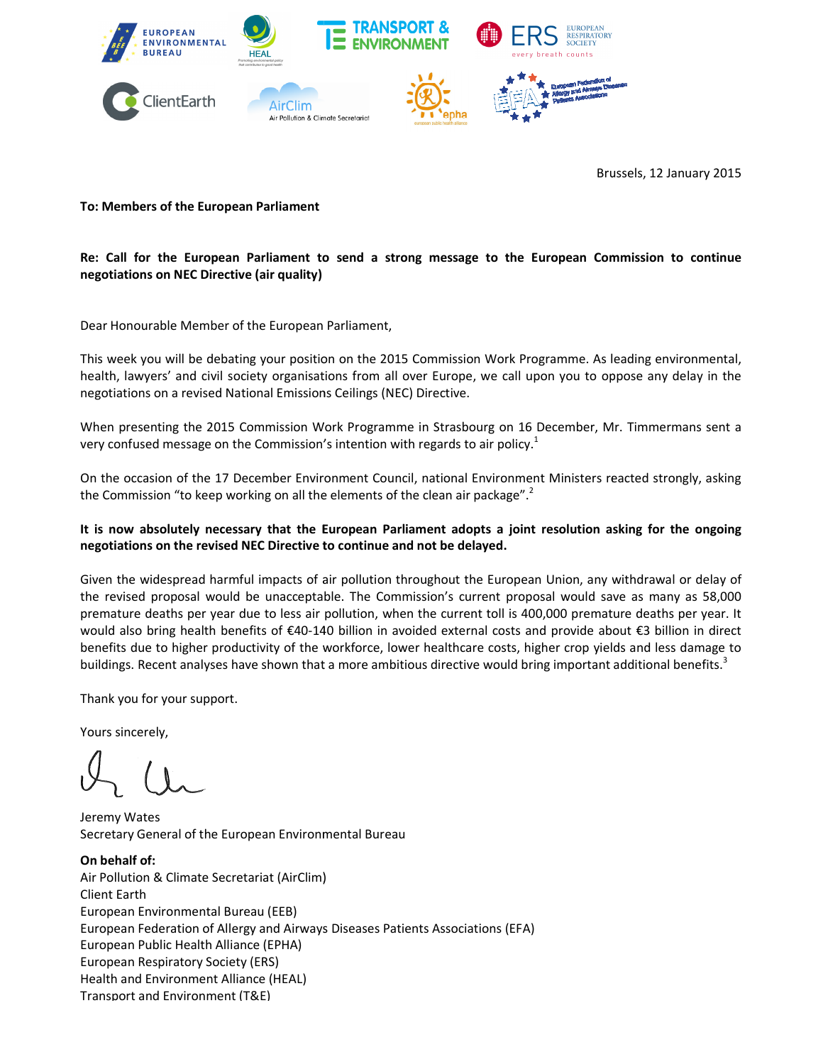

Brussels, 12 January 2015

## **To: Members of the European Parliament**

## Re: Call for the European Parliament to send a strong message to the European Commission to continue **negotiations on NEC Directive (air quality)**

Dear Honourable Member of the European Parliament Parliament,

This week you will be debating your position on the 2015 Commission Work Programme. As leading environmental, This week you will be debating your position on the 2015 Commission Work Programme. As leading environmental,<br>health, lawyers' and civil society organisations from all over Europe, we call upon you to oppose any delay in t negotiations on a revised National Emissions Ceilings Ceilings (NEC) Directive.

When presenting the 2015 Commission Work Programme in Strasbourg on 16 December, Mr. Timmermans sent a<br>very confused message on the Commission's intention with regards to air policy.<sup>1</sup><br>On the occasion of the 17 December E When presenting the 2015 Commission Work Programme in Strasbourg on 16 D<br>very confused message on the Commission's intention with regards to air policy.<sup>1</sup>

On the occasion of the 17 December Environment Council, national Environment Ministers reacted strongly, asking the Commission "to keep working on all the elements of the clean air package".<sup>2</sup>

## It is now absolutely necessary that the European Parliament adopts a joint resolution asking for the ongoing **negotiations on the revised NEC Directive to continue and not be delayed.**

Given the widespread harmful impacts of air pollution throughout the European Union, any withdrawal or delay of the revised proposal would be unacceptable. The Commission's current proposal would save as many as 58,000 premature deaths per year due to less air pollution, when the current toll is 400,000 premature deaths per year. It would also bring health benefits of €40-140 billion in avoided external costs and provide about €3 billion in direct would also bring health benefits of €40-140 billion in avoided external costs and provide about €3 billion in direct<br>benefits due to higher productivity of the workforce, lower healthcare costs, higher crop yields and les buildings. Recent analyses have shown that a more ambitious directive would bring important additional benefits.<sup>3</sup> Environ Brainment<br>
European Parliament to send a strong message to the European Commission to continue<br>
NEC Directive (air quality)<br>
NEC Directive (air quality)<br>
All be debating your position on the 2015 Commission Work Pr

Thank you for your support.

Yours sincerely,

Jeremy Wates Secretary General of the European Environmental Bureau

**On behalf of:**  Air Pollution & Climate Secretariat (AirClim) Client Earth European Environmental Bureau (EEB) European Federation of Allergy and Airways Diseases Patients Associations (EFA) European Public Health Alliance (EPHA) European Respiratory Society (ERS) Health and Environment Alliance (HEAL) Transport and Environment (T&E)